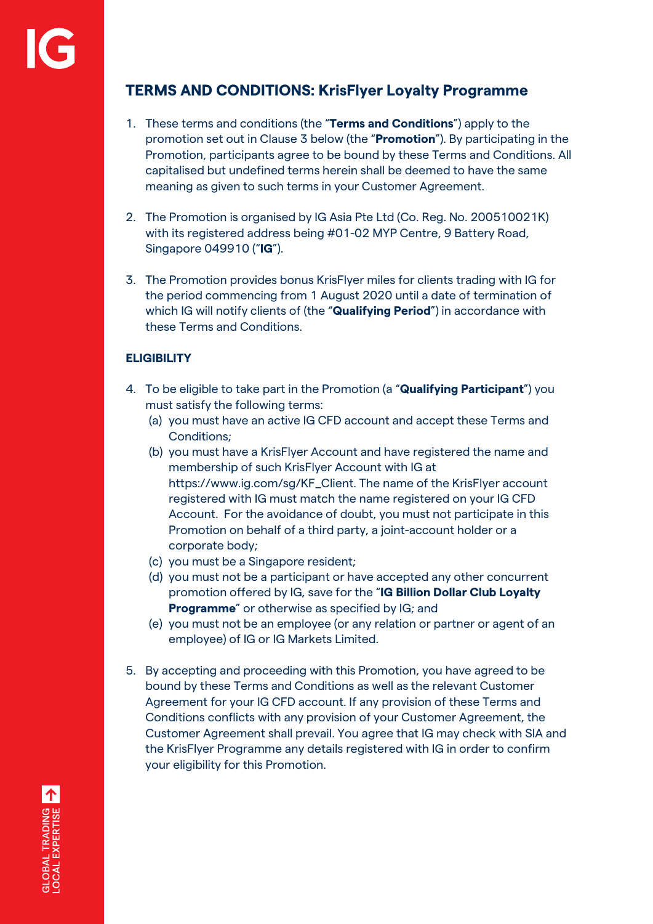# **TERMS AND CONDITIONS: KrisFlyer Loyalty Programme**

- 1. These terms and conditions (the "**Terms and Conditions**") apply to the promotion set out in Clause 3 below (the "**Promotion**"). By participating in the Promotion, participants agree to be bound by these Terms and Conditions. All capitalised but undefined terms herein shall be deemed to have the same meaning as given to such terms in your Customer Agreement.
- 2. The Promotion is organised by IG Asia Pte Ltd (Co. Reg. No. 200510021K) with its registered address being #01-02 MYP Centre, 9 Battery Road, Singapore 049910 ("**IG**").
- 3. The Promotion provides bonus KrisFlyer miles for clients trading with IG for the period commencing from 1 August 2020 until a date of termination of which IG will notify clients of (the "**Qualifying Period**") in accordance with these Terms and Conditions.

### **ELIGIBILITY**

- 4. To be eligible to take part in the Promotion (a "**Qualifying Participant**") you must satisfy the following terms:
	- (a) you must have an active IG CFD account and accept these Terms and Conditions;
	- (b) you must have a KrisFlyer Account and have registered the name and membership of such KrisFlyer Account with IG at https://www.ig.com/sg/KF\_Client. The name of the KrisFlyer account registered with IG must match the name registered on your IG CFD Account. For the avoidance of doubt, you must not participate in this Promotion on behalf of a third party, a joint-account holder or a corporate body;
	- (c) you must be a Singapore resident;
	- (d) you must not be a participant or have accepted any other concurrent promotion offered by IG, save for the "**IG Billion Dollar Club Loyalty Programme**" or otherwise as specified by IG; and
	- (e) you must not be an employee (or any relation or partner or agent of an employee) of IG or IG Markets Limited.
- 5. By accepting and proceeding with this Promotion, you have agreed to be bound by these Terms and Conditions as well as the relevant Customer Agreement for your IG CFD account. If any provision of these Terms and Conditions conflicts with any provision of your Customer Agreement, the Customer Agreement shall prevail. You agree that IG may check with SIA and the KrisFlyer Programme any details registered with IG in order to confirm your eligibility for this Promotion.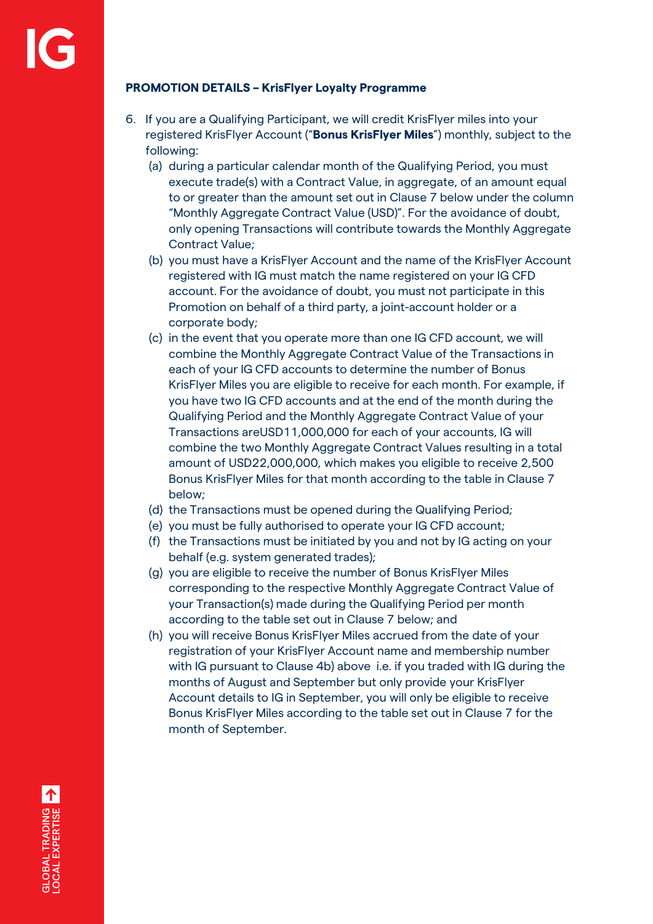### **PROMOTION DETAILS – KrisFlyer Loyalty Programme**

- 6. If you are a Qualifying Participant, we will credit KrisFlyer miles into your registered KrisFlyer Account ("**Bonus KrisFlyer Miles**") monthly, subject to the following:
	- (a) during a particular calendar month of the Qualifying Period, you must execute trade(s) with a Contract Value, in aggregate, of an amount equal to or greater than the amount set out in Clause 7 below under the column "Monthly Aggregate Contract Value (USD)". For the avoidance of doubt, only opening Transactions will contribute towards the Monthly Aggregate Contract Value;
	- (b) you must have a KrisFlyer Account and the name of the KrisFlyer Account registered with IG must match the name registered on your IG CFD account. For the avoidance of doubt, you must not participate in this Promotion on behalf of a third party, a joint-account holder or a corporate body;
	- (c) in the event that you operate more than one IG CFD account, we will combine the Monthly Aggregate Contract Value of the Transactions in each of your IG CFD accounts to determine the number of Bonus KrisFlyer Miles you are eligible to receive for each month. For example, if you have two IG CFD accounts and at the end of the month during the Qualifying Period and the Monthly Aggregate Contract Value of your Transactions areUSD11,000,000 for each of your accounts, IG will combine the two Monthly Aggregate Contract Values resulting in a total amount of USD22,000,000, which makes you eligible to receive 2,500 Bonus KrisFlyer Miles for that month according to the table in Clause 7 below;
	- (d) the Transactions must be opened during the Qualifying Period;
	- (e) you must be fully authorised to operate your IG CFD account;
	- (f) the Transactions must be initiated by you and not by IG acting on your behalf (e.g. system generated trades);
	- (g) you are eligible to receive the number of Bonus KrisFlyer Miles corresponding to the respective Monthly Aggregate Contract Value of your Transaction(s) made during the Qualifying Period per month according to the table set out in Clause 7 below; and
	- (h) you will receive Bonus KrisFlyer Miles accrued from the date of your registration of your KrisFlyer Account name and membership number with IG pursuant to Clause 4b) above i.e. if you traded with IG during the months of August and September but only provide your KrisFlyer Account details to IG in September, you will only be eligible to receive Bonus KrisFlyer Miles according to the table set out in Clause 7 for the month of September.

GLOBAL TRADING A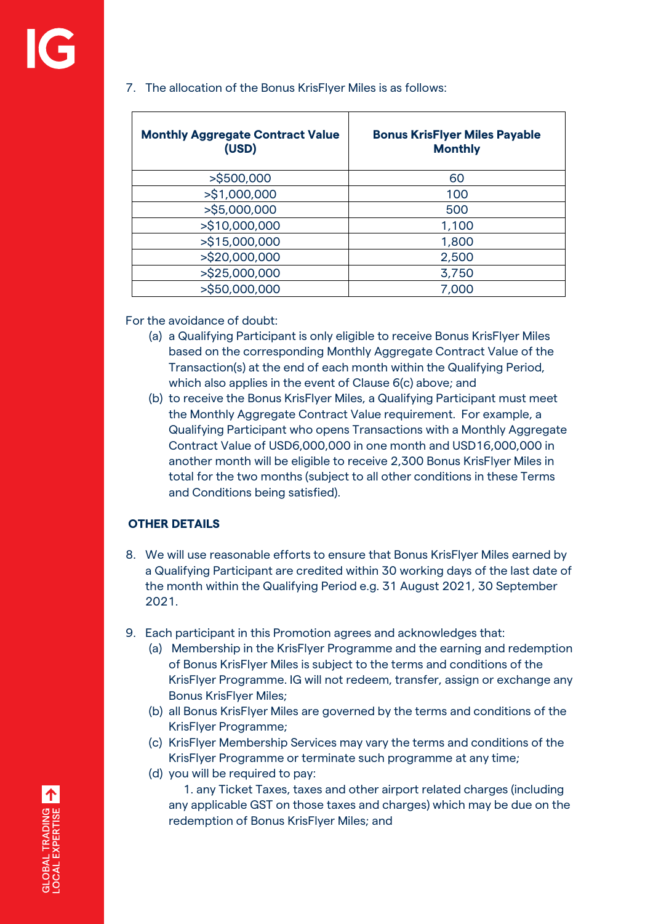| <b>Monthly Aggregate Contract Value</b><br>(USD) | <b>Bonus KrisFlyer Miles Payable</b><br><b>Monthly</b> |
|--------------------------------------------------|--------------------------------------------------------|
| >\$500,000                                       | 60                                                     |
| >\$1,000,000                                     | 100                                                    |
| >\$5,000,000                                     | 500                                                    |
| >\$10,000,000                                    | 1,100                                                  |
| >\$15,000,000                                    | 1,800                                                  |
| >\$20,000,000                                    | 2,500                                                  |
| >\$25,000,000                                    | 3,750                                                  |
| >\$50,000,000                                    | 7,000                                                  |

### 7. The allocation of the Bonus KrisFlyer Miles is as follows:

For the avoidance of doubt:

- (a) a Qualifying Participant is only eligible to receive Bonus KrisFlyer Miles based on the corresponding Monthly Aggregate Contract Value of the Transaction(s) at the end of each month within the Qualifying Period, which also applies in the event of Clause 6(c) above; and
- (b) to receive the Bonus KrisFlyer Miles, a Qualifying Participant must meet the Monthly Aggregate Contract Value requirement. For example, a Qualifying Participant who opens Transactions with a Monthly Aggregate Contract Value of USD6,000,000 in one month and USD16,000,000 in another month will be eligible to receive 2,300 Bonus KrisFlyer Miles in total for the two months (subject to all other conditions in these Terms and Conditions being satisfied).

## **OTHER DETAILS**

- 8. We will use reasonable efforts to ensure that Bonus KrisFlyer Miles earned by a Qualifying Participant are credited within 30 working days of the last date of the month within the Qualifying Period e.g. 31 August 2021, 30 September 2021.
- 9. Each participant in this Promotion agrees and acknowledges that:
	- (a) Membership in the KrisFlyer Programme and the earning and redemption of Bonus KrisFlyer Miles is subject to the terms and conditions of the KrisFlyer Programme. IG will not redeem, transfer, assign or exchange any Bonus KrisFlyer Miles;
	- (b) all Bonus KrisFlyer Miles are governed by the terms and conditions of the KrisFlyer Programme;
	- (c) KrisFlyer Membership Services may vary the terms and conditions of the KrisFlyer Programme or terminate such programme at any time;
	- (d) you will be required to pay:

 1. any Ticket Taxes, taxes and other airport related charges (including any applicable GST on those taxes and charges) which may be due on the redemption of Bonus KrisFlyer Miles; and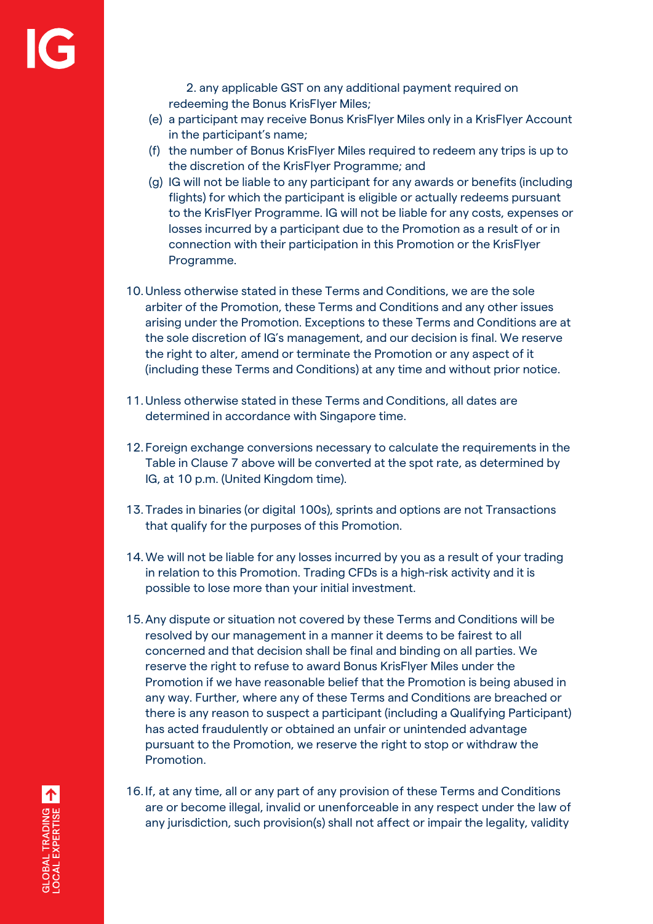2. any applicable GST on any additional payment required on redeeming the Bonus KrisFlyer Miles;

- (e) a participant may receive Bonus KrisFlyer Miles only in a KrisFlyer Account in the participant's name;
- (f) the number of Bonus KrisFlyer Miles required to redeem any trips is up to the discretion of the KrisFlyer Programme; and
- (g) IG will not be liable to any participant for any awards or benefits (including flights) for which the participant is eligible or actually redeems pursuant to the KrisFlyer Programme. IG will not be liable for any costs, expenses or losses incurred by a participant due to the Promotion as a result of or in connection with their participation in this Promotion or the KrisFlyer Programme.
- 10.Unless otherwise stated in these Terms and Conditions, we are the sole arbiter of the Promotion, these Terms and Conditions and any other issues arising under the Promotion. Exceptions to these Terms and Conditions are at the sole discretion of IG's management, and our decision is final. We reserve the right to alter, amend or terminate the Promotion or any aspect of it (including these Terms and Conditions) at any time and without prior notice.
- 11.Unless otherwise stated in these Terms and Conditions, all dates are determined in accordance with Singapore time.
- 12. Foreign exchange conversions necessary to calculate the requirements in the Table in Clause 7 above will be converted at the spot rate, as determined by IG, at 10 p.m. (United Kingdom time).
- 13. Trades in binaries (or digital 100s), sprints and options are not Transactions that qualify for the purposes of this Promotion.
- 14.We will not be liable for any losses incurred by you as a result of your trading in relation to this Promotion. Trading CFDs is a high-risk activity and it is possible to lose more than your initial investment.
- 15.Any dispute or situation not covered by these Terms and Conditions will be resolved by our management in a manner it deems to be fairest to all concerned and that decision shall be final and binding on all parties. We reserve the right to refuse to award Bonus KrisFlyer Miles under the Promotion if we have reasonable belief that the Promotion is being abused in any way. Further, where any of these Terms and Conditions are breached or there is any reason to suspect a participant (including a Qualifying Participant) has acted fraudulently or obtained an unfair or unintended advantage pursuant to the Promotion, we reserve the right to stop or withdraw the Promotion.
- 16. If, at any time, all or any part of any provision of these Terms and Conditions are or become illegal, invalid or unenforceable in any respect under the law of any jurisdiction, such provision(s) shall not affect or impair the legality, validity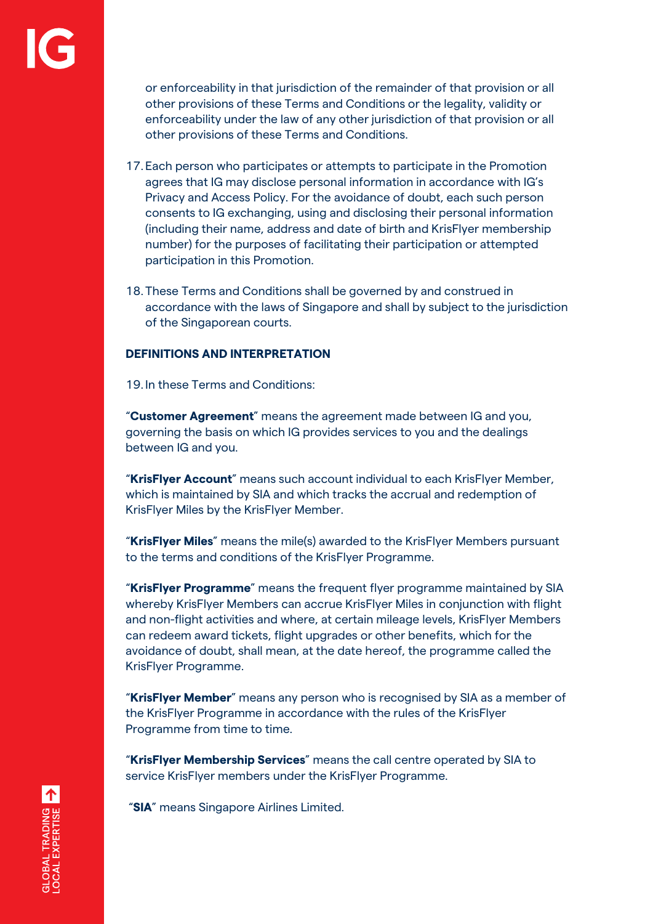or enforceability in that jurisdiction of the remainder of that provision or all other provisions of these Terms and Conditions or the legality, validity or enforceability under the law of any other jurisdiction of that provision or all other provisions of these Terms and Conditions.

- 17. Each person who participates or attempts to participate in the Promotion agrees that IG may disclose personal information in accordance with IG's Privacy and Access Policy. For the avoidance of doubt, each such person consents to IG exchanging, using and disclosing their personal information (including their name, address and date of birth and KrisFlyer membership number) for the purposes of facilitating their participation or attempted participation in this Promotion.
- 18. These Terms and Conditions shall be governed by and construed in accordance with the laws of Singapore and shall by subject to the jurisdiction of the Singaporean courts.

#### **DEFINITIONS AND INTERPRETATION**

19. In these Terms and Conditions:

"**Customer Agreement**" means the agreement made between IG and you, governing the basis on which IG provides services to you and the dealings between IG and you.

"**KrisFlyer Account**" means such account individual to each KrisFlyer Member, which is maintained by SIA and which tracks the accrual and redemption of KrisFlyer Miles by the KrisFlyer Member.

"**KrisFlyer Miles**" means the mile(s) awarded to the KrisFlyer Members pursuant to the terms and conditions of the KrisFlyer Programme.

"**KrisFlyer Programme**" means the frequent flyer programme maintained by SIA whereby KrisFlyer Members can accrue KrisFlyer Miles in conjunction with flight and non-flight activities and where, at certain mileage levels, KrisFlyer Members can redeem award tickets, flight upgrades or other benefits, which for the avoidance of doubt, shall mean, at the date hereof, the programme called the KrisFlyer Programme.

"**KrisFlyer Member**" means any person who is recognised by SIA as a member of the KrisFlyer Programme in accordance with the rules of the KrisFlyer Programme from time to time.

"**KrisFlyer Membership Services**" means the call centre operated by SIA to service KrisFlyer members under the KrisFlyer Programme.

"**SIA**" means Singapore Airlines Limited.